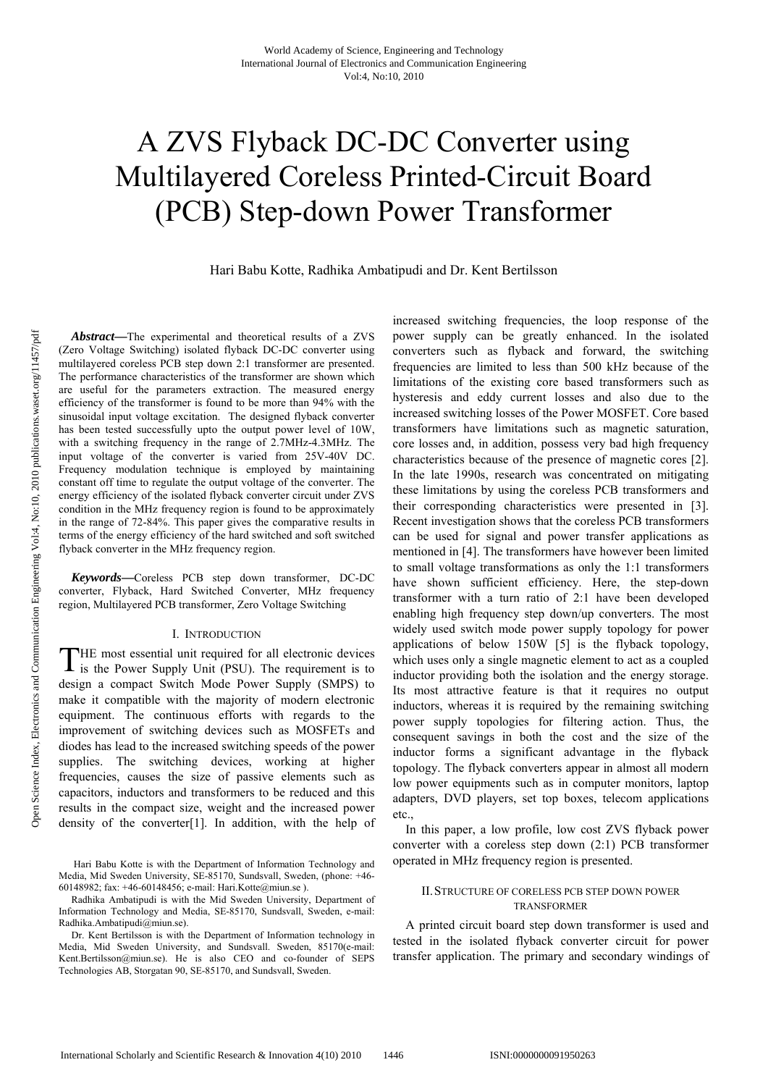# A ZVS Flyback DC-DC Converter using Multilayered Coreless Printed-Circuit Board (PCB) Step-down Power Transformer

Hari Babu Kotte, Radhika Ambatipudi and Dr. Kent Bertilsson

*Abstract***—**The experimental and theoretical results of a ZVS (Zero Voltage Switching) isolated flyback DC-DC converter using multilayered coreless PCB step down 2:1 transformer are presented. The performance characteristics of the transformer are shown which are useful for the parameters extraction. The measured energy efficiency of the transformer is found to be more than 94% with the sinusoidal input voltage excitation. The designed flyback converter has been tested successfully upto the output power level of 10W, with a switching frequency in the range of 2.7MHz-4.3MHz. The input voltage of the converter is varied from 25V-40V DC. Frequency modulation technique is employed by maintaining constant off time to regulate the output voltage of the converter. The energy efficiency of the isolated flyback converter circuit under ZVS condition in the MHz frequency region is found to be approximately in the range of 72-84%. This paper gives the comparative results in terms of the energy efficiency of the hard switched and soft switched flyback converter in the MHz frequency region.

*Keywords***—**Coreless PCB step down transformer, DC-DC converter, Flyback, Hard Switched Converter, MHz frequency region, Multilayered PCB transformer, Zero Voltage Switching

### I. INTRODUCTION

HE most essential unit required for all electronic devices THE most essential unit required for all electronic devices is the Power Supply Unit (PSU). The requirement is to design a compact Switch Mode Power Supply (SMPS) to make it compatible with the majority of modern electronic equipment. The continuous efforts with regards to the improvement of switching devices such as MOSFETs and diodes has lead to the increased switching speeds of the power supplies. The switching devices, working at higher frequencies, causes the size of passive elements such as capacitors, inductors and transformers to be reduced and this results in the compact size, weight and the increased power density of the converter[1]. In addition, with the help of

 Hari Babu Kotte is with the Department of Information Technology and Media, Mid Sweden University, SE-85170, Sundsvall, Sweden, (phone: +46- 60148982; fax: +46-60148456; e-mail: Hari.Kotte@miun.se ).

Radhika Ambatipudi is with the Mid Sweden University, Department of Information Technology and Media, SE-85170, Sundsvall, Sweden, e-mail: Radhika.Ambatipudi@miun.se).

Dr. Kent Bertilsson is with the Department of Information technology in Media, Mid Sweden University, and Sundsvall. Sweden, 85170(e-mail: Kent.Bertilsson@miun.se). He is also CEO and co-founder of SEPS Technologies AB, Storgatan 90, SE-85170, and Sundsvall, Sweden.

increased switching frequencies, the loop response of the power supply can be greatly enhanced. In the isolated converters such as flyback and forward, the switching frequencies are limited to less than 500 kHz because of the limitations of the existing core based transformers such as hysteresis and eddy current losses and also due to the increased switching losses of the Power MOSFET. Core based transformers have limitations such as magnetic saturation, core losses and, in addition, possess very bad high frequency characteristics because of the presence of magnetic cores [2]. In the late 1990s, research was concentrated on mitigating these limitations by using the coreless PCB transformers and their corresponding characteristics were presented in [3]. Recent investigation shows that the coreless PCB transformers can be used for signal and power transfer applications as mentioned in [4]. The transformers have however been limited to small voltage transformations as only the 1:1 transformers have shown sufficient efficiency. Here, the step-down transformer with a turn ratio of 2:1 have been developed enabling high frequency step down/up converters. The most widely used switch mode power supply topology for power applications of below 150W [5] is the flyback topology, which uses only a single magnetic element to act as a coupled inductor providing both the isolation and the energy storage. Its most attractive feature is that it requires no output inductors, whereas it is required by the remaining switching power supply topologies for filtering action. Thus, the consequent savings in both the cost and the size of the inductor forms a significant advantage in the flyback topology. The flyback converters appear in almost all modern low power equipments such as in computer monitors, laptop adapters, DVD players, set top boxes, telecom applications etc.,

In this paper, a low profile, low cost ZVS flyback power converter with a coreless step down (2:1) PCB transformer operated in MHz frequency region is presented.

## II.STRUCTURE OF CORELESS PCB STEP DOWN POWER TRANSFORMER

A printed circuit board step down transformer is used and tested in the isolated flyback converter circuit for power transfer application. The primary and secondary windings of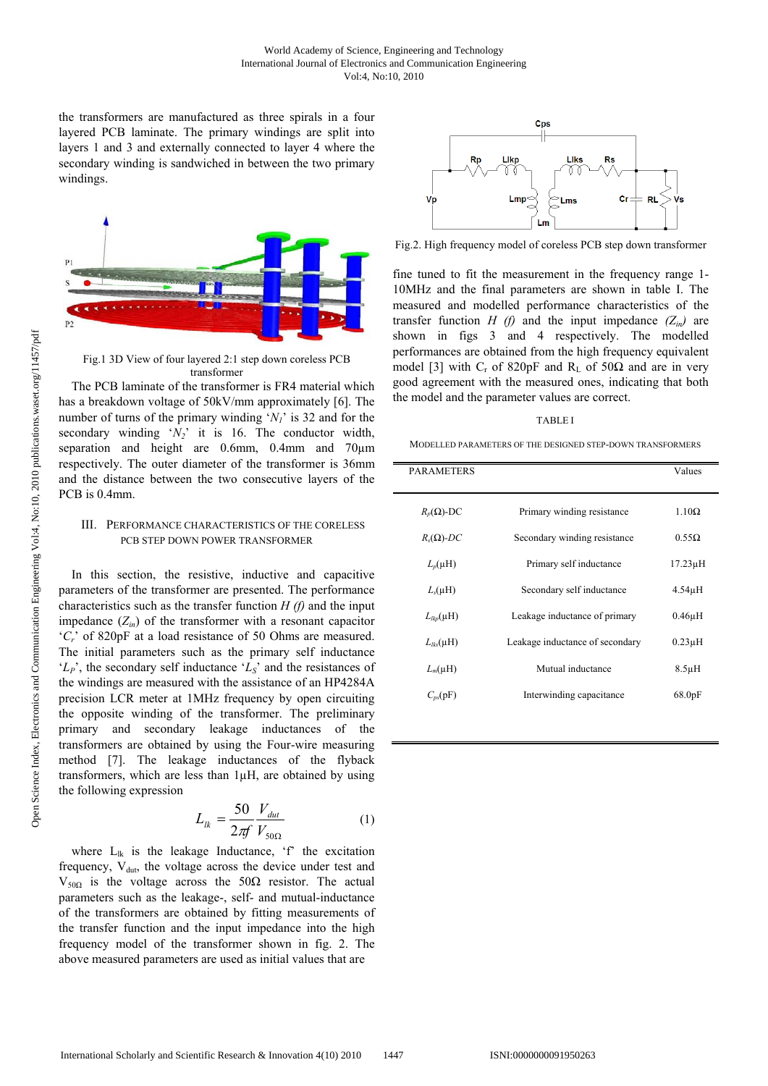the transformers are manufactured as three spirals in a four layered PCB laminate. The primary windings are split into layers 1 and 3 and externally connected to layer 4 where the secondary winding is sandwiched in between the two primary windings.



Fig.1 3D View of four layered 2:1 step down coreless PCB transformer

The PCB laminate of the transformer is FR4 material which has a breakdown voltage of 50kV/mm approximately [6]. The number of turns of the primary winding  $'N_1'$  is 32 and for the secondary winding  $\overline{Y_2}$  it is 16. The conductor width, separation and height are 0.6mm, 0.4mm and 70µm respectively. The outer diameter of the transformer is 36mm and the distance between the two consecutive layers of the PCB is 0.4mm.

## III. PERFORMANCE CHARACTERISTICS OF THE CORELESS PCB STEP DOWN POWER TRANSFORMER

In this section, the resistive, inductive and capacitive parameters of the transformer are presented. The performance characteristics such as the transfer function *H (f)* and the input impedance  $(Z_{in})$  of the transformer with a resonant capacitor '*Cr*' of 820pF at a load resistance of 50 Ohms are measured. The initial parameters such as the primary self inductance '*LP*', the secondary self inductance '*LS*' and the resistances of the windings are measured with the assistance of an HP4284A precision LCR meter at 1MHz frequency by open circuiting the opposite winding of the transformer. The preliminary primary and secondary leakage inductances of the transformers are obtained by using the Four-wire measuring method [7]. The leakage inductances of the flyback transformers, which are less than 1µH, are obtained by using the following expression

$$
L_{lk} = \frac{50}{2\pi f} \frac{V_{dut}}{V_{50\Omega}} \tag{1}
$$

where  $L_{ik}$  is the leakage Inductance, 'f' the excitation frequency,  $V_{\text{dut}}$ , the voltage across the device under test and  $V_{50Ω}$  is the voltage across the 50Ω resistor. The actual parameters such as the leakage-, self- and mutual-inductance of the transformers are obtained by fitting measurements of the transfer function and the input impedance into the high frequency model of the transformer shown in fig. 2. The above measured parameters are used as initial values that are



Fig.2. High frequency model of coreless PCB step down transformer

fine tuned to fit the measurement in the frequency range 1- 10MHz and the final parameters are shown in table I. The measured and modelled performance characteristics of the transfer function *H (f)* and the input impedance  $(Z_{in})$  are shown in figs 3 and 4 respectively. The modelled performances are obtained from the high frequency equivalent model [3] with  $C_r$  of 820pF and R<sub>L</sub> of 50 $\Omega$  and are in very good agreement with the measured ones, indicating that both the model and the parameter values are correct.

#### TABLE I

MODELLED PARAMETERS OF THE DESIGNED STEP-DOWN TRANSFORMERS

| <b>PARAMETERS</b> |                                 | Values       |
|-------------------|---------------------------------|--------------|
| $R_p(\Omega)$ -DC | Primary winding resistance      | $1.10\Omega$ |
| $R_s(\Omega)$ -DC | Secondary winding resistance    | $0.55\Omega$ |
| $L_n(\mu H)$      | Primary self inductance         | $17.23\mu H$ |
| $L_s(\mu H)$      | Secondary self inductance       | $4.54\mu H$  |
| $L_{lkn}(\mu H)$  | Leakage inductance of primary   | $0.46\mu H$  |
| $L_{lks}(\mu H)$  | Leakage inductance of secondary | $0.23\mu H$  |
| $L_m(\mu H)$      | Mutual inductance               | $8.5\mu H$   |
| $C_{ns}(pF)$      | Interwinding capacitance        | 68.0pF       |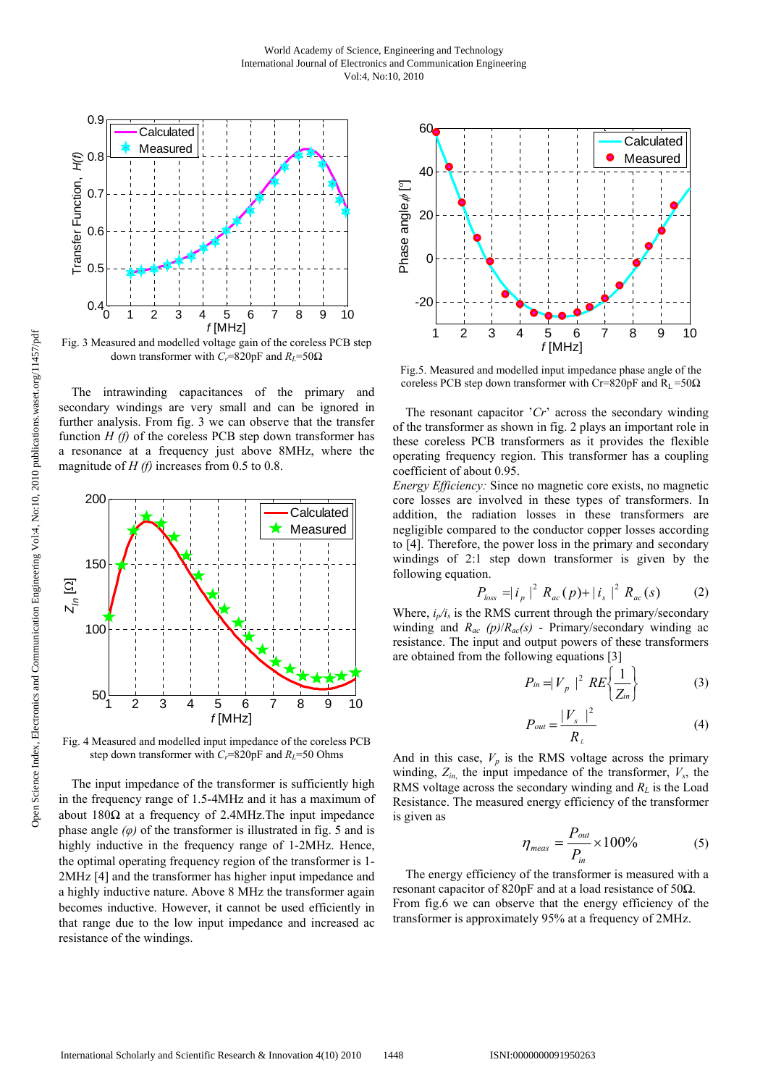

Fig. 3 Measured and modelled voltage gain of the coreless PCB step down transformer with *Cr*=820pF and *RL*=50Ω

The intrawinding capacitances of the primary and secondary windings are very small and can be ignored in further analysis. From fig. 3 we can observe that the transfer function *H (f)* of the coreless PCB step down transformer has a resonance at a frequency just above 8MHz, where the magnitude of *H (f)* increases from 0.5 to 0.8.



Fig. 4 Measured and modelled input impedance of the coreless PCB step down transformer with  $C_r$ =820pF and  $R_L$ =50 Ohms

The input impedance of the transformer is sufficiently high in the frequency range of 1.5-4MHz and it has a maximum of about  $180\Omega$  at a frequency of 2.4MHz. The input impedance phase angle  $(\varphi)$  of the transformer is illustrated in fig. 5 and is highly inductive in the frequency range of 1-2MHz. Hence, the optimal operating frequency region of the transformer is 1- 2MHz [4] and the transformer has higher input impedance and a highly inductive nature. Above 8 MHz the transformer again becomes inductive. However, it cannot be used efficiently in that range due to the low input impedance and increased ac resistance of the windings.



Fig.5. Measured and modelled input impedance phase angle of the coreless PCB step down transformer with Cr=820pF and R<sub>L</sub> =50 $\Omega$ 

The resonant capacitor '*Cr*' across the secondary winding of the transformer as shown in fig. 2 plays an important role in these coreless PCB transformers as it provides the flexible operating frequency region. This transformer has a coupling coefficient of about 0.95.

*Energy Efficiency:* Since no magnetic core exists, no magnetic core losses are involved in these types of transformers. In addition, the radiation losses in these transformers are negligible compared to the conductor copper losses according to [4]. Therefore, the power loss in the primary and secondary windings of 2:1 step down transformer is given by the following equation.

$$
P_{loss} = |i_p|^2 R_{ac}(p) + |i_s|^2 R_{ac}(s) \tag{2}
$$

Where,  $i_p/i_s$  is the RMS current through the primary/secondary winding and *Rac (p)*/*Rac(s)* - Primary/secondary winding ac resistance. The input and output powers of these transformers are obtained from the following equations [3]

$$
P_{in} = |V_p|^2 RE\left\{\frac{1}{Z_{in}}\right\} \tag{3}
$$

$$
P_{out} = \frac{|V_s|^2}{R_L} \tag{4}
$$

And in this case,  $V_p$  is the RMS voltage across the primary winding,  $Z_{in}$ , the input impedance of the transformer,  $V_s$ , the RMS voltage across the secondary winding and *RL* is the Load Resistance. The measured energy efficiency of the transformer is given as

$$
\eta_{\text{meas}} = \frac{P_{\text{out}}}{P_{\text{in}}} \times 100\%
$$
 (5)

The energy efficiency of the transformer is measured with a resonant capacitor of 820pF and at a load resistance of 50Ω. From fig.6 we can observe that the energy efficiency of the transformer is approximately 95% at a frequency of 2MHz.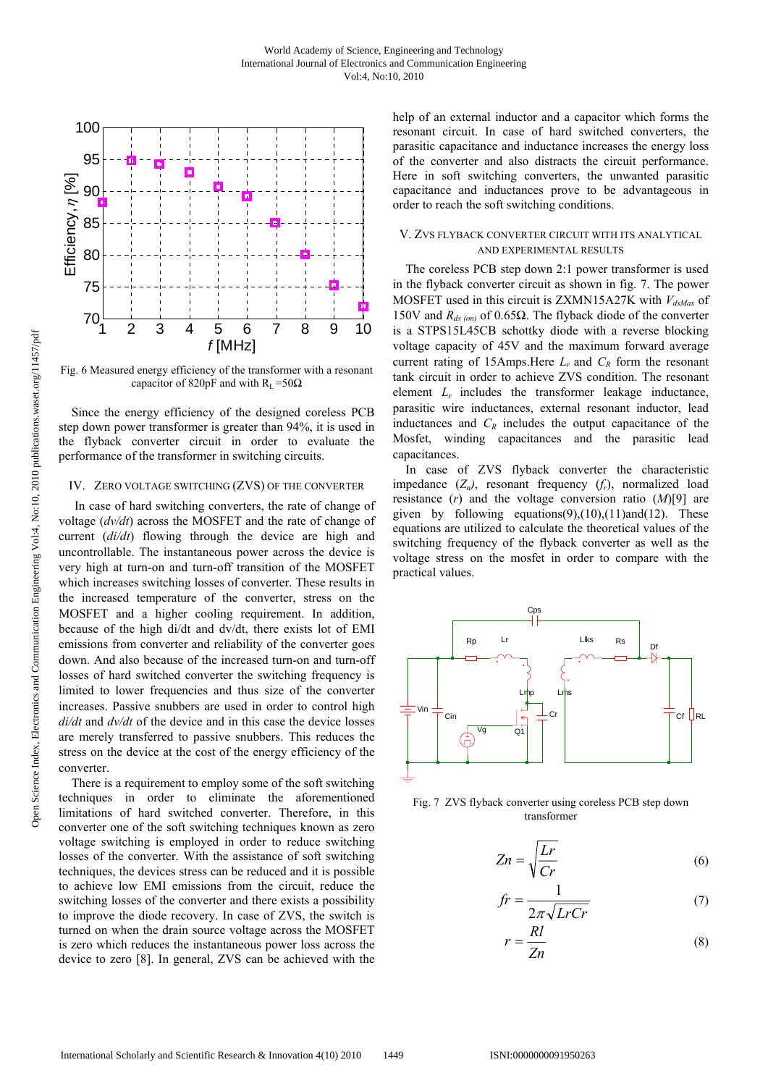

Fig. 6 Measured energy efficiency of the transformer with a resonant capacitor of 820pF and with  $R_L = 50\Omega$ 

Since the energy efficiency of the designed coreless PCB step down power transformer is greater than 94%, it is used in the flyback converter circuit in order to evaluate the performance of the transformer in switching circuits.

## IV. ZERO VOLTAGE SWITCHING (ZVS) OF THE CONVERTER

 In case of hard switching converters, the rate of change of voltage (*dv/dt*) across the MOSFET and the rate of change of current (*di/dt*) flowing through the device are high and uncontrollable. The instantaneous power across the device is very high at turn-on and turn-off transition of the MOSFET which increases switching losses of converter. These results in the increased temperature of the converter, stress on the MOSFET and a higher cooling requirement. In addition, because of the high di/dt and dv/dt, there exists lot of EMI emissions from converter and reliability of the converter goes down. And also because of the increased turn-on and turn-off losses of hard switched converter the switching frequency is limited to lower frequencies and thus size of the converter increases. Passive snubbers are used in order to control high *di/dt* and *dv/dt* of the device and in this case the device losses are merely transferred to passive snubbers. This reduces the stress on the device at the cost of the energy efficiency of the converter.

There is a requirement to employ some of the soft switching techniques in order to eliminate the aforementioned limitations of hard switched converter. Therefore, in this converter one of the soft switching techniques known as zero voltage switching is employed in order to reduce switching losses of the converter. With the assistance of soft switching techniques, the devices stress can be reduced and it is possible to achieve low EMI emissions from the circuit, reduce the switching losses of the converter and there exists a possibility to improve the diode recovery. In case of ZVS, the switch is turned on when the drain source voltage across the MOSFET is zero which reduces the instantaneous power loss across the device to zero [8]. In general, ZVS can be achieved with the help of an external inductor and a capacitor which forms the resonant circuit. In case of hard switched converters, the parasitic capacitance and inductance increases the energy loss of the converter and also distracts the circuit performance. Here in soft switching converters, the unwanted parasitic capacitance and inductances prove to be advantageous in order to reach the soft switching conditions.

## V. ZVS FLYBACK CONVERTER CIRCUIT WITH ITS ANALYTICAL AND EXPERIMENTAL RESULTS

The coreless PCB step down 2:1 power transformer is used in the flyback converter circuit as shown in fig. 7. The power MOSFET used in this circuit is ZXMN15A27K with  $V_{dsMax}$  of 150V and *Rds (on)* of 0.65Ω. The flyback diode of the converter is a STPS15L45CB schottky diode with a reverse blocking voltage capacity of 45V and the maximum forward average current rating of 15Amps.Here *Lr* and *CR* form the resonant tank circuit in order to achieve ZVS condition. The resonant element *Lr* includes the transformer leakage inductance, parasitic wire inductances, external resonant inductor, lead inductances and  $C_R$  includes the output capacitance of the Mosfet, winding capacitances and the parasitic lead capacitances.

In case of ZVS flyback converter the characteristic impedance  $(Z_n)$ , resonant frequency  $(f_r)$ , normalized load resistance (*r*) and the voltage conversion ratio (*M*)[9] are given by following equations(9),(10),(11)and(12). These equations are utilized to calculate the theoretical values of the switching frequency of the flyback converter as well as the voltage stress on the mosfet in order to compare with the practical values.



Fig. 7 ZVS flyback converter using coreless PCB step down transformer

$$
Zn = \sqrt{\frac{Lr}{Cr}}\tag{6}
$$

$$
fr = \frac{1}{2\pi\sqrt{LrCr}}\tag{7}
$$

$$
r = \frac{Rl}{Zn} \tag{8}
$$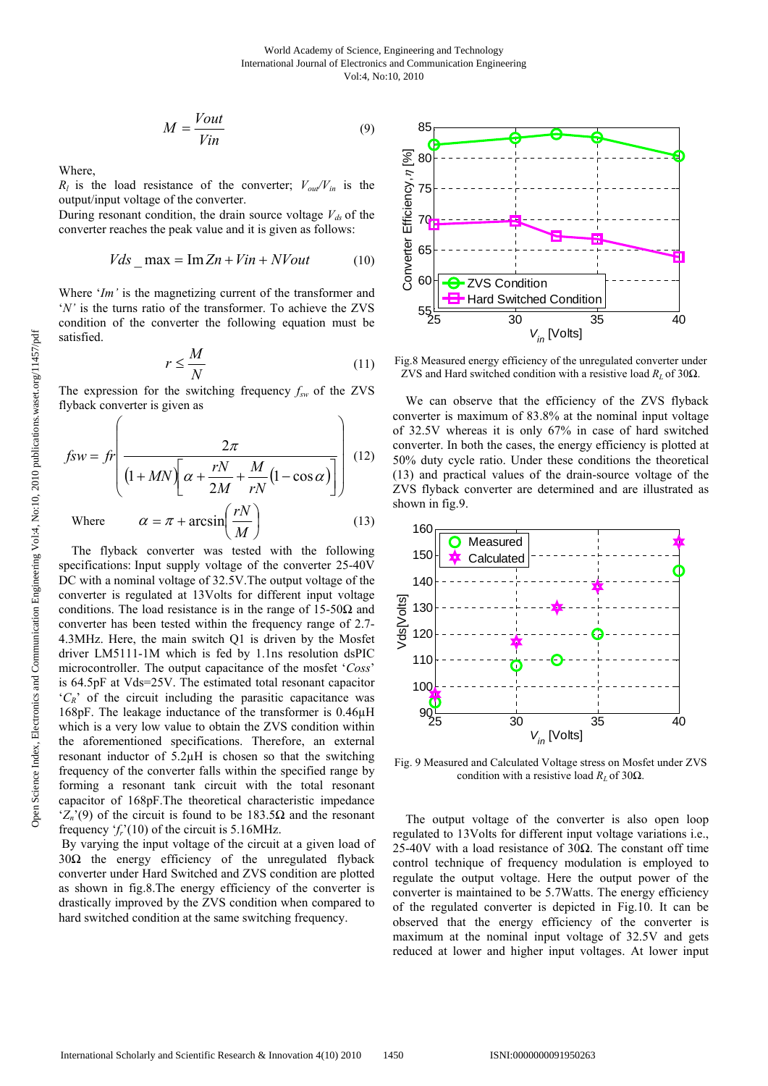$$
M = \frac{Vout}{Vin} \tag{9}
$$

Where,

 $\sqrt{2}$ 

 $R_l$  is the load resistance of the converter;  $V_{out}/V_{in}$  is the output/input voltage of the converter.

During resonant condition, the drain source voltage  $V_{ds}$  of the converter reaches the peak value and it is given as follows:

$$
Vds \quad \text{max} = \text{Im}\, Zn + Vin + NVout \tag{10}
$$

Where '*Im'* is the magnetizing current of the transformer and '*N'* is the turns ratio of the transformer. To achieve the ZVS condition of the converter the following equation must be satisfied.

$$
r \le \frac{M}{N} \tag{11}
$$

The expression for the switching frequency *fsw* of the ZVS flyback converter is given as

$$
fsw = fr\left(\frac{2\pi}{\left(1 + MN\right)\left[\alpha + \frac{rN}{2M} + \frac{M}{rN}\left(1 - \cos\alpha\right)\right]}\right)
$$
(12)  
Where  $\alpha = \pi + \arcsin\left(\frac{rN}{M}\right)$ (13)

The flyback converter was tested with the following specifications: Input supply voltage of the converter 25-40V DC with a nominal voltage of 32.5V.The output voltage of the converter is regulated at 13Volts for different input voltage conditions. The load resistance is in the range of  $15-50\Omega$  and converter has been tested within the frequency range of 2.7- 4.3MHz. Here, the main switch Q1 is driven by the Mosfet driver LM5111-1M which is fed by 1.1ns resolution dsPIC microcontroller. The output capacitance of the mosfet '*Coss*' is 64.5pF at Vds=25V. The estimated total resonant capacitor  ${}^{\circ}C_R$ <sup>'</sup> of the circuit including the parasitic capacitance was 168pF. The leakage inductance of the transformer is 0.46µH which is a very low value to obtain the ZVS condition within the aforementioned specifications. Therefore, an external resonant inductor of 5.2µH is chosen so that the switching frequency of the converter falls within the specified range by forming a resonant tank circuit with the total resonant capacitor of 168pF.The theoretical characteristic impedance  $Z_n(9)$  of the circuit is found to be 183.5 $\Omega$  and the resonant frequency  $f_r(10)$  of the circuit is 5.16MHz.

 By varying the input voltage of the circuit at a given load of 30Ω the energy efficiency of the unregulated flyback converter under Hard Switched and ZVS condition are plotted as shown in fig.8.The energy efficiency of the converter is drastically improved by the ZVS condition when compared to hard switched condition at the same switching frequency.



Fig.8 Measured energy efficiency of the unregulated converter under ZVS and Hard switched condition with a resistive load *RL* of 30Ω.

We can observe that the efficiency of the ZVS flyback converter is maximum of 83.8% at the nominal input voltage of 32.5V whereas it is only 67% in case of hard switched converter. In both the cases, the energy efficiency is plotted at 50% duty cycle ratio. Under these conditions the theoretical (13) and practical values of the drain-source voltage of the ZVS flyback converter are determined and are illustrated as shown in fig.9.



Fig. 9 Measured and Calculated Voltage stress on Mosfet under ZVS condition with a resistive load  $R_L$  of 30 $\Omega$ .

The output voltage of the converter is also open loop regulated to 13Volts for different input voltage variations i.e., 25-40V with a load resistance of 30 $Ω$ . The constant off time control technique of frequency modulation is employed to regulate the output voltage. Here the output power of the converter is maintained to be 5.7Watts. The energy efficiency of the regulated converter is depicted in Fig.10. It can be observed that the energy efficiency of the converter is maximum at the nominal input voltage of 32.5V and gets reduced at lower and higher input voltages. At lower input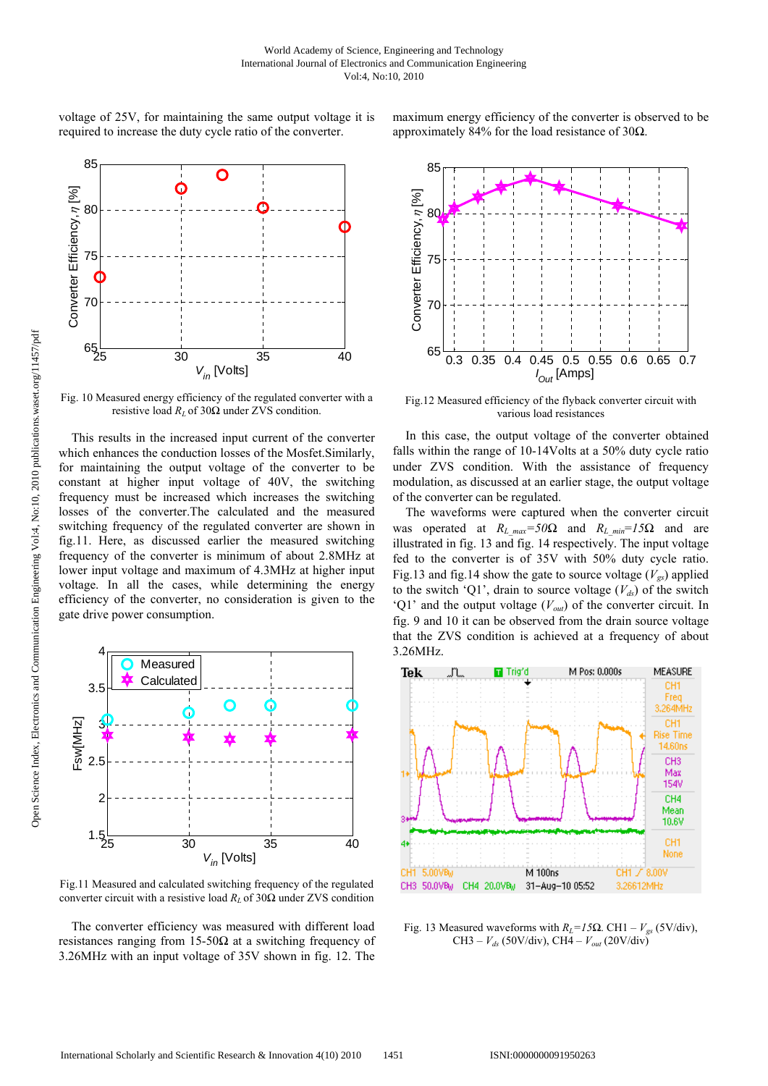voltage of 25V, for maintaining the same output voltage it is required to increase the duty cycle ratio of the converter.



Fig. 10 Measured energy efficiency of the regulated converter with a resistive load  $R_L$  of 30 $\Omega$  under ZVS condition.

This results in the increased input current of the converter which enhances the conduction losses of the Mosfet.Similarly, for maintaining the output voltage of the converter to be constant at higher input voltage of 40V, the switching frequency must be increased which increases the switching losses of the converter.The calculated and the measured switching frequency of the regulated converter are shown in fig.11. Here, as discussed earlier the measured switching frequency of the converter is minimum of about 2.8MHz at lower input voltage and maximum of 4.3MHz at higher input voltage. In all the cases, while determining the energy efficiency of the converter, no consideration is given to the gate drive power consumption.



Fig.11 Measured and calculated switching frequency of the regulated converter circuit with a resistive load  $R_L$  of 30 $\Omega$  under ZVS condition

The converter efficiency was measured with different load resistances ranging from 15-50Ω at a switching frequency of 3.26MHz with an input voltage of 35V shown in fig. 12. The





Fig.12 Measured efficiency of the flyback converter circuit with various load resistances

In this case, the output voltage of the converter obtained falls within the range of 10-14Volts at a 50% duty cycle ratio under ZVS condition. With the assistance of frequency modulation, as discussed at an earlier stage, the output voltage of the converter can be regulated.

The waveforms were captured when the converter circuit was operated at  $R_L_{max}=50\Omega$  and  $R_L_{min}=15\Omega$  and are illustrated in fig. 13 and fig. 14 respectively. The input voltage fed to the converter is of 35V with 50% duty cycle ratio. Fig.13 and fig.14 show the gate to source voltage  $(V_{\alpha s})$  applied to the switch 'Q1', drain to source voltage  $(V_{d<sub>s</sub>})$  of the switch 'Q1' and the output voltage  $(V_{out})$  of the converter circuit. In fig. 9 and 10 it can be observed from the drain source voltage that the ZVS condition is achieved at a frequency of about 3.26MHz.



Fig. 13 Measured waveforms with  $R_L = 15Ω$ . CH1 –  $V_{gs}$  (5V/div), CH3 –  $V_{ds}$  (50V/div), CH4 –  $V_{out}$  (20V/div)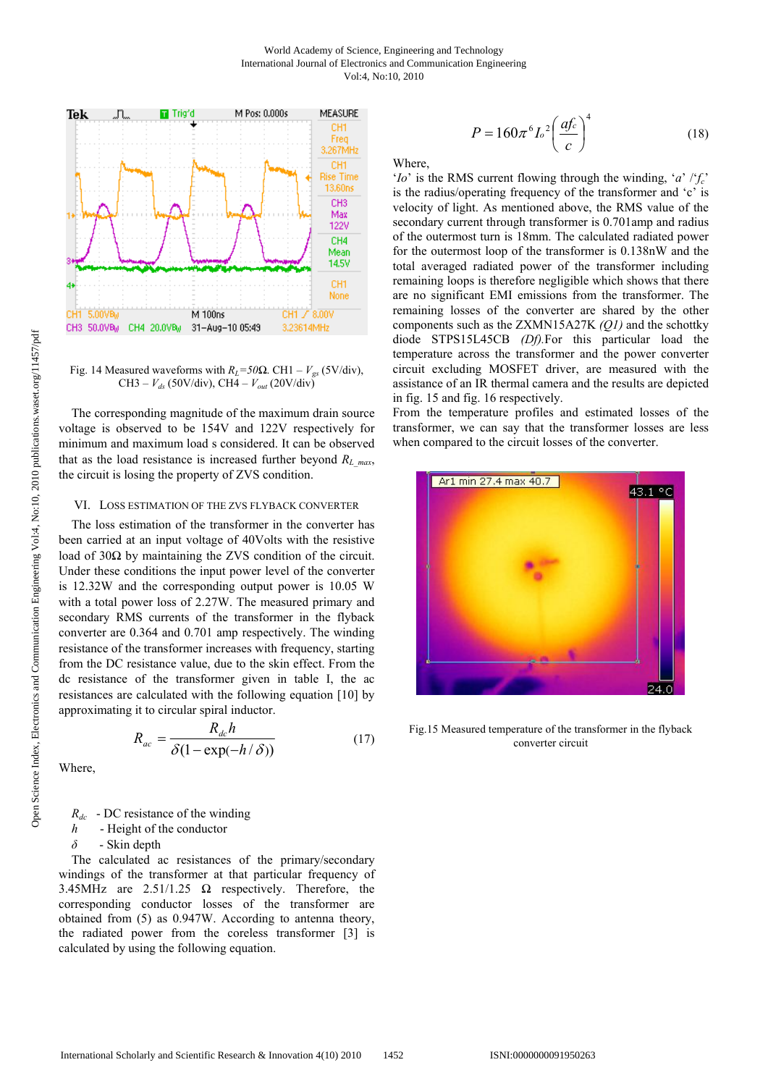

Fig. 14 Measured waveforms with  $R_L$ =50 $\Omega$ . CH1 –  $V_{gs}$  (5V/div), CH3 – *Vds* (50V/div), CH4 – *Vout* (20V/div)

The corresponding magnitude of the maximum drain source voltage is observed to be 154V and 122V respectively for minimum and maximum load s considered. It can be observed that as the load resistance is increased further beyond  $R_{L,max}$ , the circuit is losing the property of ZVS condition.

## VI. LOSS ESTIMATION OF THE ZVS FLYBACK CONVERTER

The loss estimation of the transformer in the converter has been carried at an input voltage of 40Volts with the resistive load of  $30Ω$  by maintaining the ZVS condition of the circuit. Under these conditions the input power level of the converter is 12.32W and the corresponding output power is 10.05 W with a total power loss of 2.27W. The measured primary and secondary RMS currents of the transformer in the flyback converter are 0.364 and 0.701 amp respectively. The winding resistance of the transformer increases with frequency, starting from the DC resistance value, due to the skin effect. From the dc resistance of the transformer given in table I, the ac resistances are calculated with the following equation [10] by approximating it to circular spiral inductor.

$$
R_{ac} = \frac{R_{dc}h}{\delta(1 - \exp(-h/\delta))}
$$
 (17)

Where,

*R<sub>dc</sub>* - DC resistance of the winding

*h* - Height of the conductor

*δ* - Skin depth

The calculated ac resistances of the primary/secondary windings of the transformer at that particular frequency of 3.45MHz are  $2.51/1.25$   $\Omega$  respectively. Therefore, the corresponding conductor losses of the transformer are obtained from (5) as 0.947W. According to antenna theory, the radiated power from the coreless transformer [3] is calculated by using the following equation.

$$
P = 160\pi^6 L^2 \left(\frac{af_c}{c}\right)^4\tag{18}
$$

Where,

'*Io*' is the RMS current flowing through the winding, '*a*' /'*fc*' is the radius/operating frequency of the transformer and 'c' is velocity of light. As mentioned above, the RMS value of the secondary current through transformer is 0.701amp and radius of the outermost turn is 18mm. The calculated radiated power for the outermost loop of the transformer is 0.138nW and the total averaged radiated power of the transformer including remaining loops is therefore negligible which shows that there are no significant EMI emissions from the transformer. The remaining losses of the converter are shared by the other components such as the ZXMN15A27K *(Q1)* and the schottky diode STPS15L45CB *(Df).*For this particular load the temperature across the transformer and the power converter circuit excluding MOSFET driver, are measured with the assistance of an IR thermal camera and the results are depicted in fig. 15 and fig. 16 respectively.

From the temperature profiles and estimated losses of the transformer, we can say that the transformer losses are less when compared to the circuit losses of the converter.



Fig.15 Measured temperature of the transformer in the flyback converter circuit